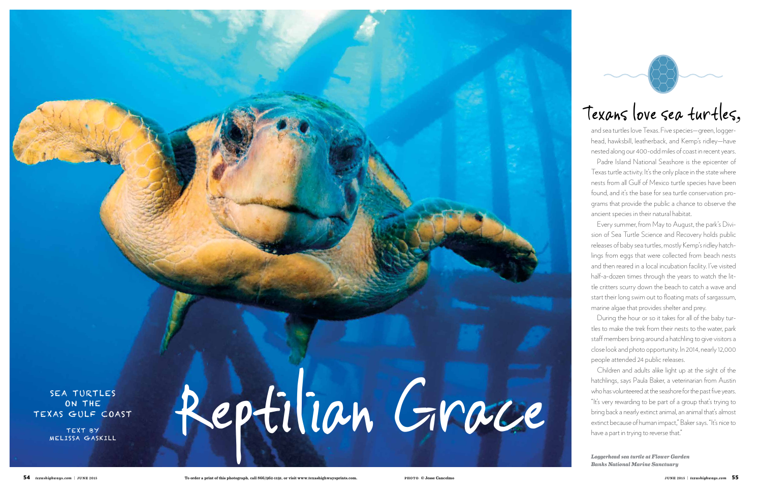# SEA TURTLES ON THE COAST Reptilion GIROCE on the Texas Gulf Coast

TEXT BY Melissa Gaskill



and sea turtles love Texas. Five species—green, loggerhead, hawksbill, leatherback, and Kemp's ridley—have nested along our 400-odd miles of coast in recent years.

Padre Island National Seashore is the epicenter of Texas turtle activity. It's the only place in the state where nests from all Gulf of Mexico turtle species have been found, and it's the base for sea turtle conservation programs that provide the public a chance to observe the ancient species in their natural habitat.

Every summer, from May to August, the park's Division of Sea Turtle Science and Recovery holds public releases of baby sea turtles, mostly Kemp's ridley hatchlings from eggs that were collected from beach nests and then reared in a local incubation facility. I've visited half-a-dozen times through the years to watch the little critters scurry down the beach to catch a wave and start their long swim out to floating mats of sargassum, marine algae that provides shelter and prey.

During the hour or so it takes for all of the baby turtles to make the trek from their nests to the water, park staff members bring around a hatchling to give visitors a close look and photo opportunity. In 2014, nearly 12,000 people attended 24 public releases.

Children and adults alike light up at the sight of the hatchlings, says Paula Baker, a veterinarian from Austin who has volunteered at the seashore for the past five years. "It's very rewarding to be part of a group that's trying to bring back a nearly extinct animal, an animal that's almost extinct because of human impact," Baker says. "It's nice to have a part in trying to reverse that."

# Texans love sea turtles,

*Loggerhead sea turtle at Flower Garden Banks National Marine Sanctuary*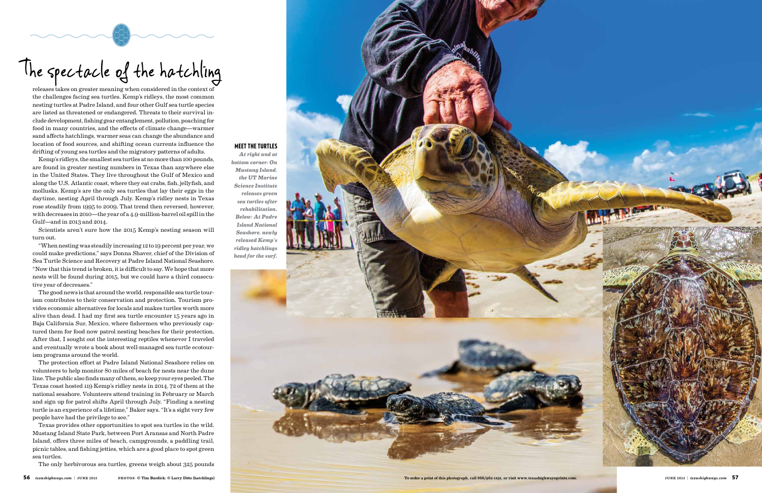releases takes on greater meaning when considered in the context of the challenges facing sea turtles. Kemp's ridleys, the most common nesting turtles at Padre Island, and four other Gulf sea turtle species are listed as threatened or endangered. Threats to their survival in clude development, fishing gear entanglement, pollution, poaching for food in many countries, and the effects of climate change—warmer sand affects hatchlings, warmer seas can change the abundance and location of food sources, and shifting ocean currents influence the drifting of young sea turtles and the migratory patterns of adults.

Kemp's ridleys, the smallest sea turtles at no more than 100 pounds, are found in greater nesting numbers in Texas than anywhere else in the United States. They live throughout the Gulf of Mexico and along the U.S. Atlantic coast, where they eat crabs, fish, jellyfish, and mollusks. Kemp's are the only sea turtles that lay their eggs in the daytime, nesting April through July. Kemp's ridley nests in Texas rose steadily from 1995 to 2009. That trend then reversed, however, with decreases in 2010—the year of a 4.9-million-barrel oil spill in the Gulf—and in 2013 and 2014.

Scientists aren't sure how the 2015 Kemp's nesting season will turn out.

"When nesting was steadily increasing 12 to 19 percent per year, we could make predictions," says Donna Shaver, chief of the Division of Sea Turtle Science and Recovery at Padre Island National Seashore. "Now that this trend is broken, it is difficult to say. We hope that more nests will be found during 2015, but we could have a third consecu tive year of decreases."

The good news is that around the world, responsible sea turtle tour ism contributes to their conservation and protection. Tourism pro vides economic alternatives for locals and makes turtles worth more alive than dead. I had my first sea turtle encounter 15 years ago in Baja California Sur, Mexico, where fishermen who previously cap tured them for food now patrol nesting beaches for their protection. After that, I sought out the interesting reptiles whenever I traveled and eventually wrote a book about well-managed sea turtle ecotour ism programs around the world.

The protection effort at Padre Island National Seashore relies on volunteers to help monitor 80 miles of beach for nests near the dune line. The public also finds many of them, so keep your eyes peeled. The Texas coast hosted 119 Kemp's ridley nests in 2014, 72 of them at the national seashore. Volunteers attend training in February or March and sign up for patrol shifts April through July. "Finding a nesting turtle is an experience of a lifetime," Baker says. "It's a sight very few people have had the privilege to see."

Texas provides other opportunities to spot sea turtles in the wild. Mustang Island State Park, between Port Aransas and North Padre Island, offers three miles of beach, campgrounds, a paddling trail, picnic tables, and fishing jetties, which are a good place to spot green sea turtles.

The only herbivorous sea turtles, greens weigh about 325 pounds

# Meet the Turtles

*At right and at bottom corner: On Mustang Island, the UT Marine Science Institute releases green sea turtles after rehabilitation. Below: At Padre Island National Seashore, newly released Kemp's ridley hatchlings head for the surf.*



The spectacle of the hatchling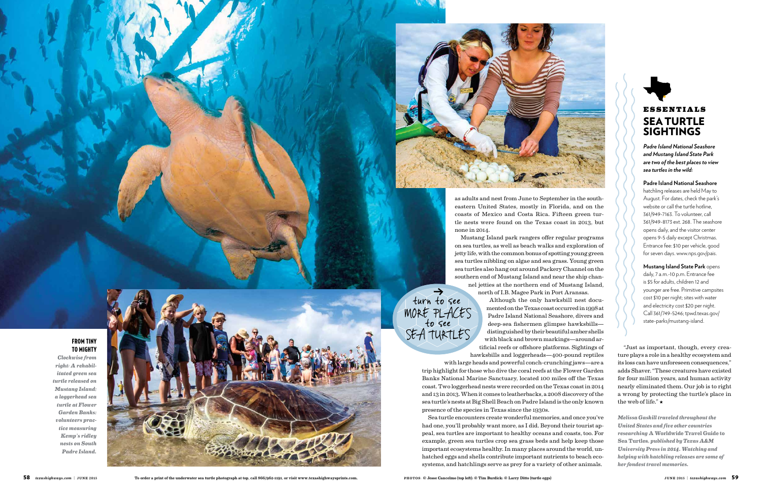

as adults and nest from June to September in the southeastern United States, mostly in Florida, and on the coasts of Mexico and Costa Rica. Fifteen green turtle nests were found on the Texas coast in 2013, but none in 2014.

north of I.B. Magee Park in Port Aransas.

Although the only hawksbill nest documented on the Texas coast occurred in 1998 at Padre Island National Seashore, divers and deep-sea fishermen glimpse hawksbills distinguished by their beautiful amber shells with black and brown markings—around artificial reefs or offshore platforms. Sightings of hawksbills and loggerheads—400-pound reptiles

with large heads and powerful conch-crunching jaws—are a trip highlight for those who dive the coral reefs at the Flower Garden Banks National Marine Sanctuary, located 100 miles off the Texas coast. Two loggerhead nests were recorded on the Texas coast in 2014 and 13 in 2013. When it comes to leatherbacks, a 2008 discovery of the sea turtle's nests at Big Shell Beach on Padre Island is the only known presence of the species in Texas since the 1930s.

Sea turtle encounters create wonderful memories, and once you've had one, you'll probably want more, as I did. Beyond their tourist appeal, sea turtles are important to healthy oceans and coasts, too. For example, green sea turtles crop sea grass beds and help keep those important ecosystems healthy. In many places around the world, unhatched eggs and shells contribute important nutrients to beach ecosystems, and hatchlings serve as prey for a variety of other animals.

Mustang Island park rangers offer regular programs on sea turtles, as well as beach walks and exploration of jetty life, with the common bonus of spotting young green sea turtles nibbling on algae and sea grass. Young green sea turtles also hang out around Packery Channel on the southern end of Mustang Island and near the ship channel jetties at the northern end of Mustang Island, *←* turn to see

*Padre Island National Seashore and Mustang Island State Park are two of the best places to view sea turtles in the wild:*

# **Padre Island National Seashore**

hatchling releases are held May to August. For dates, check the park's website or call the turtle hotline, 361/949-7163. To volunteer, call 361/949-8173 ext. 268. The seashore opens daily, and the visitor center opens 9-5 daily except Christmas. Entrance fee: \$10 per vehicle, good for seven days. www.nps.gov/pais.

**Mustang Island State Park** opens daily, 7 a.m.-10 p.m. Entrance fee is \$5 for adults, children 12 and younger are free. Primitive campsites cost \$10 per night; sites with water and electricity cost \$20 per night. Call 361/749-5246; tpwd.texas.gov/ state-parks/mustang-island.

"Just as important, though, every creature plays a role in a healthy ecosystem and its loss can have unforeseen consequences," adds Shaver. "These creatures have existed for four million years, and human activity nearly eliminated them. Our job is to right a wrong by protecting the turtle's place in the web of life." ★

*Melissa Gaskill traveled throughout the United States and five other countries researching* **A Worldwide Travel Guide to Sea Turtles***, published by Texas A&M University Press in 2014. Watching and helping with hatchling releases are some of her fondest travel memories.*

# from tiny to Mighty

*Clockwise from right: A rehabilitated green sea turtle released on Mustang Island; a loggerhead sea turtle at Flower Garden Banks; volunteers practice measuring Kemp's ridley nests on South Padre Island.* 



MORE PLACES

SEA TURTLES





# **ESSENTIALS SEA TURTLE SIGHTINGS**